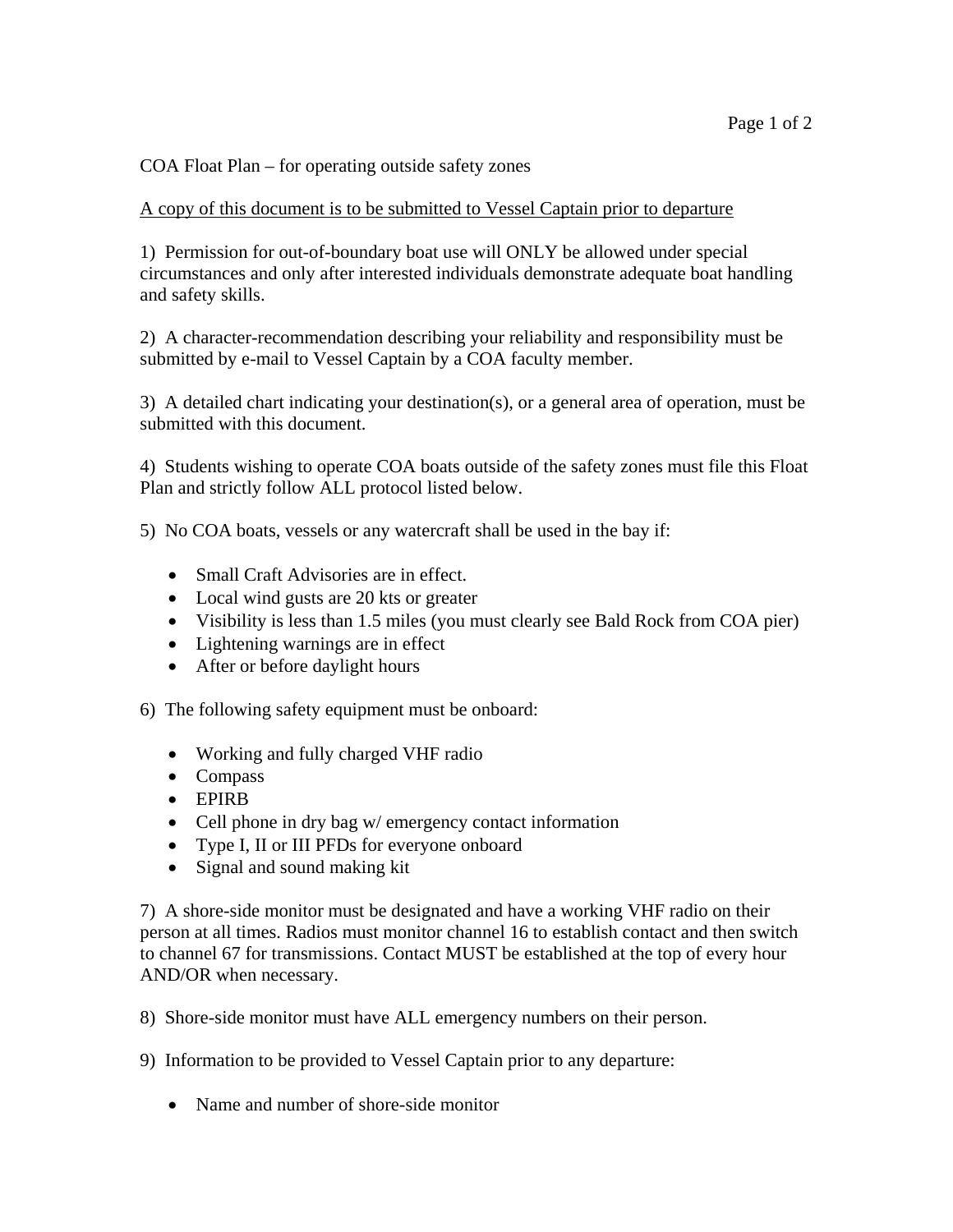COA Float Plan – for operating outside safety zones

## A copy of this document is to be submitted to Vessel Captain prior to departure

1) Permission for out-of-boundary boat use will ONLY be allowed under special circumstances and only after interested individuals demonstrate adequate boat handling and safety skills.

2) A character-recommendation describing your reliability and responsibility must be submitted by e-mail to Vessel Captain by a COA faculty member.

3) A detailed chart indicating your destination(s), or a general area of operation, must be submitted with this document.

4) Students wishing to operate COA boats outside of the safety zones must file this Float Plan and strictly follow ALL protocol listed below.

5) No COA boats, vessels or any watercraft shall be used in the bay if:

- Small Craft Advisories are in effect.
- Local wind gusts are 20 kts or greater
- Visibility is less than 1.5 miles (you must clearly see Bald Rock from COA pier)
- Lightening warnings are in effect
- After or before daylight hours
- 6) The following safety equipment must be onboard:
	- Working and fully charged VHF radio
	- Compass
	- EPIRB
	- Cell phone in dry bag w/ emergency contact information
	- Type I, II or III PFDs for everyone onboard
	- Signal and sound making kit

7) A shore-side monitor must be designated and have a working VHF radio on their person at all times. Radios must monitor channel 16 to establish contact and then switch to channel 67 for transmissions. Contact MUST be established at the top of every hour AND/OR when necessary.

8) Shore-side monitor must have ALL emergency numbers on their person.

9) Information to be provided to Vessel Captain prior to any departure:

• Name and number of shore-side monitor